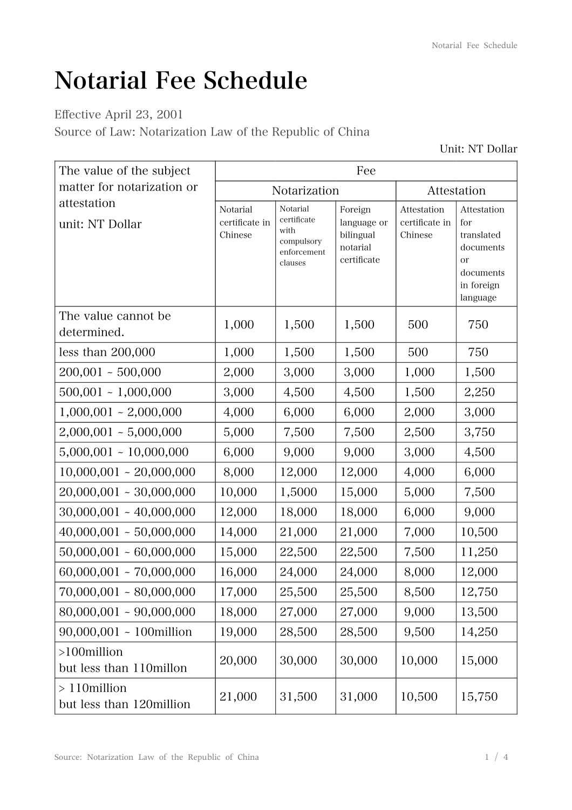## Notarial Fee Schedule

Effective April 23, 2001

Source of Law: Notarization Law of the Republic of China

| The value of the subject                   | Fee                                   |                                                                         |                                                                |                                          |                                                                                                       |
|--------------------------------------------|---------------------------------------|-------------------------------------------------------------------------|----------------------------------------------------------------|------------------------------------------|-------------------------------------------------------------------------------------------------------|
| matter for notarization or                 | Notarization                          |                                                                         |                                                                | Attestation                              |                                                                                                       |
| attestation<br>unit: NT Dollar             | Notarial<br>certificate in<br>Chinese | Notarial<br>certificate<br>with<br>compulsory<br>enforcement<br>clauses | Foreign<br>language or<br>bilingual<br>notarial<br>certificate | Attestation<br>certificate in<br>Chinese | Attestation<br>for<br>translated<br>documents<br><sub>or</sub><br>documents<br>in foreign<br>language |
| The value cannot be<br>determined.         | 1,000                                 | 1,500                                                                   | 1,500                                                          | 500                                      | 750                                                                                                   |
| less than $200,000$                        | 1,000                                 | 1,500                                                                   | 1,500                                                          | 500                                      | 750                                                                                                   |
| $200,001 - 500,000$                        | 2,000                                 | 3,000                                                                   | 3,000                                                          | 1,000                                    | 1,500                                                                                                 |
| $500,001 - 1,000,000$                      | 3,000                                 | 4,500                                                                   | 4,500                                                          | 1,500                                    | 2,250                                                                                                 |
| $1,000,001 - 2,000,000$                    | 4,000                                 | 6,000                                                                   | 6,000                                                          | 2,000                                    | 3,000                                                                                                 |
| $2,000,001 - 5,000,000$                    | 5,000                                 | 7,500                                                                   | 7,500                                                          | 2,500                                    | 3,750                                                                                                 |
| $5,000,001 - 10,000,000$                   | 6,000                                 | 9,000                                                                   | 9,000                                                          | 3,000                                    | 4,500                                                                                                 |
| $10,000,001 - 20,000,000$                  | 8,000                                 | 12,000                                                                  | 12,000                                                         | 4,000                                    | 6,000                                                                                                 |
| $20,000,001 - 30,000,000$                  | 10,000                                | 1,5000                                                                  | 15,000                                                         | 5,000                                    | 7,500                                                                                                 |
| $30,000,001 - 40,000,000$                  | 12,000                                | 18,000                                                                  | 18,000                                                         | 6,000                                    | 9,000                                                                                                 |
| $40,000,001 - 50,000,000$                  | 14,000                                | 21,000                                                                  | 21,000                                                         | 7,000                                    | 10,500                                                                                                |
| $50,000,001 - 60,000,000$                  | 15,000                                | 22,500                                                                  | 22,500                                                         | 7,500                                    | 11,250                                                                                                |
| $60,000,001 - 70,000,000$                  | 16,000                                | 24,000                                                                  | 24,000                                                         | 8,000                                    | 12,000                                                                                                |
| $70,000,001 - 80,000,000$                  | 17,000                                | 25,500                                                                  | 25,500                                                         | 8,500                                    | 12,750                                                                                                |
| $80,000,001 - 90,000,000$                  | 18,000                                | 27,000                                                                  | 27,000                                                         | 9,000                                    | 13,500                                                                                                |
| $90,000,001 - 100$ million                 | 19,000                                | 28,500                                                                  | 28,500                                                         | 9,500                                    | 14,250                                                                                                |
| >100million<br>but less than 110millon     | 20,000                                | 30,000                                                                  | 30,000                                                         | 10,000                                   | 15,000                                                                                                |
| $>110$ million<br>but less than 120million | 21,000                                | 31,500                                                                  | 31,000                                                         | 10,500                                   | 15,750                                                                                                |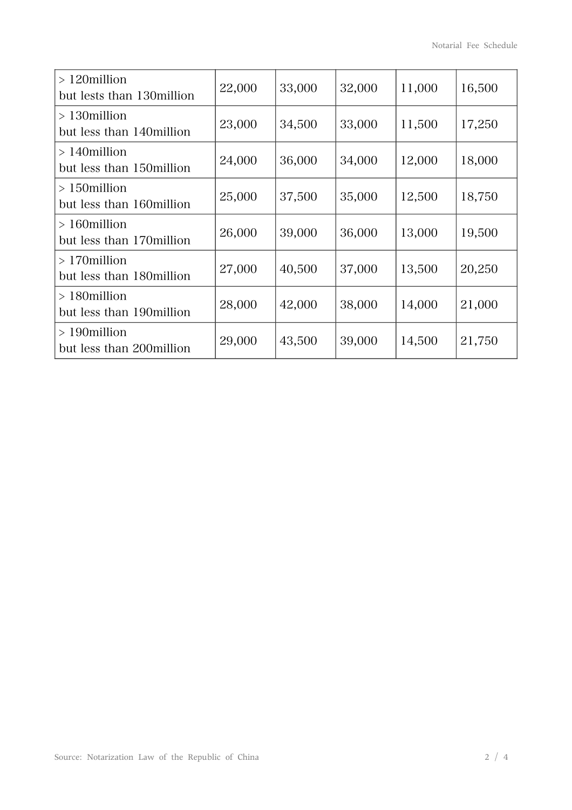| $>120$ million<br>but lests than 130 million | 22,000 | 33,000 | 32,000 | 11,000 | 16,500 |
|----------------------------------------------|--------|--------|--------|--------|--------|
| $>130$ million<br>but less than 140 million  | 23,000 | 34,500 | 33,000 | 11,500 | 17,250 |
| $>140$ million<br>but less than 150 million  | 24,000 | 36,000 | 34,000 | 12,000 | 18,000 |
| $>150$ million<br>but less than 160 million  | 25,000 | 37,500 | 35,000 | 12,500 | 18,750 |
| $>160$ million<br>but less than 170 million  | 26,000 | 39,000 | 36,000 | 13,000 | 19,500 |
| $>170$ million<br>but less than 180million   | 27,000 | 40,500 | 37,000 | 13,500 | 20,250 |
| $>180$ million<br>but less than 190 million  | 28,000 | 42,000 | 38,000 | 14,000 | 21,000 |
| $>190$ million<br>but less than 200 million  | 29,000 | 43,500 | 39,000 | 14,500 | 21,750 |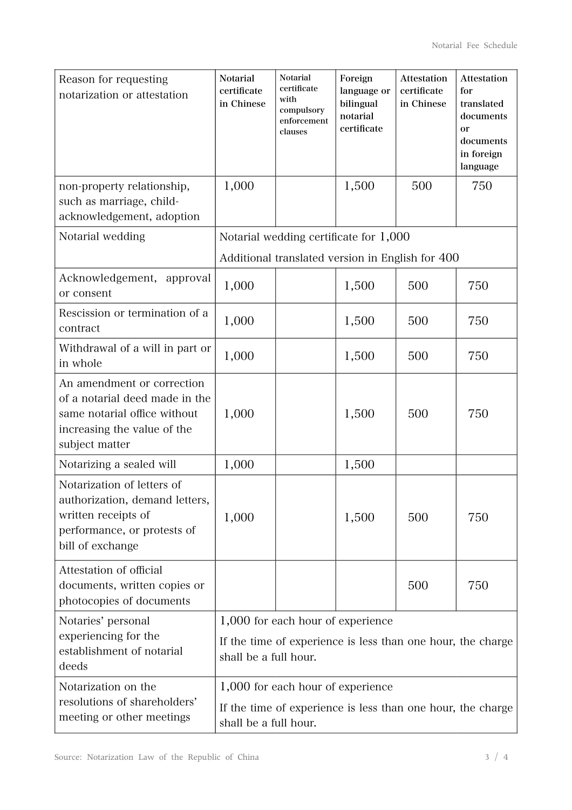| Reason for requesting<br>notarization or attestation                                                                                          | <b>Notarial</b><br>certificate<br>in Chinese                                                                              | Notarial<br>certificate<br>with<br>compulsory<br>enforcement<br>clauses | Foreign<br>language or<br>bilingual<br>notarial<br>certificate | <b>Attestation</b><br>certificate<br>in Chinese | <b>Attestation</b><br>for<br>translated<br>documents<br>or<br>documents<br>in foreign<br>language |
|-----------------------------------------------------------------------------------------------------------------------------------------------|---------------------------------------------------------------------------------------------------------------------------|-------------------------------------------------------------------------|----------------------------------------------------------------|-------------------------------------------------|---------------------------------------------------------------------------------------------------|
| non-property relationship,<br>such as marriage, child-<br>acknowledgement, adoption                                                           | 1,000                                                                                                                     |                                                                         | 1,500                                                          | 500                                             | 750                                                                                               |
| Notarial wedding                                                                                                                              |                                                                                                                           | Notarial wedding certificate for 1,000                                  |                                                                |                                                 |                                                                                                   |
|                                                                                                                                               |                                                                                                                           | Additional translated version in English for 400                        |                                                                |                                                 |                                                                                                   |
| Acknowledgement, approval<br>or consent                                                                                                       | 1,000                                                                                                                     |                                                                         | 1,500                                                          | 500                                             | 750                                                                                               |
| Rescission or termination of a<br>contract                                                                                                    | 1,000                                                                                                                     |                                                                         | 1,500                                                          | 500                                             | 750                                                                                               |
| Withdrawal of a will in part or<br>in whole                                                                                                   | 1,000                                                                                                                     |                                                                         | 1,500                                                          | 500                                             | 750                                                                                               |
| An amendment or correction<br>of a notarial deed made in the<br>same notarial office without<br>increasing the value of the<br>subject matter | 1,000                                                                                                                     |                                                                         | 1,500                                                          | 500                                             | 750                                                                                               |
| Notarizing a sealed will                                                                                                                      | 1,000                                                                                                                     |                                                                         | 1,500                                                          |                                                 |                                                                                                   |
| Notarization of letters of<br>authorization, demand letters,<br>written receipts of<br>performance, or protests of<br>bill of exchange        | 1,000                                                                                                                     |                                                                         | 1,500                                                          | 500                                             | 750                                                                                               |
| Attestation of official<br>documents, written copies or<br>photocopies of documents                                                           |                                                                                                                           |                                                                         |                                                                | 500                                             | 750                                                                                               |
| Notaries' personal<br>experiencing for the<br>establishment of notarial<br>deeds                                                              | 1,000 for each hour of experience<br>If the time of experience is less than one hour, the charge<br>shall be a full hour. |                                                                         |                                                                |                                                 |                                                                                                   |
| Notarization on the<br>resolutions of shareholders'<br>meeting or other meetings                                                              | 1,000 for each hour of experience<br>If the time of experience is less than one hour, the charge<br>shall be a full hour. |                                                                         |                                                                |                                                 |                                                                                                   |